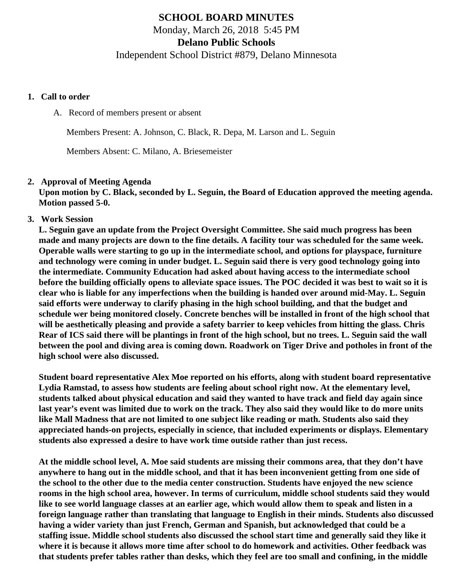# **SCHOOL BOARD MINUTES** Monday, March 26, 2018 5:45 PM

**Delano Public Schools**

Independent School District #879, Delano Minnesota

### **1. Call to order**

A. Record of members present or absent

Members Present: A. Johnson, C. Black, R. Depa, M. Larson and L. Seguin

Members Absent: C. Milano, A. Briesemeister

# **2. Approval of Meeting Agenda**

**Upon motion by C. Black, seconded by L. Seguin, the Board of Education approved the meeting agenda. Motion passed 5-0.**

**3. Work Session**

**L. Seguin gave an update from the Project Oversight Committee. She said much progress has been made and many projects are down to the fine details. A facility tour was scheduled for the same week. Operable walls were starting to go up in the intermediate school, and options for playspace, furniture and technology were coming in under budget. L. Seguin said there is very good technology going into the intermediate. Community Education had asked about having access to the intermediate school before the building officially opens to alleviate space issues. The POC decided it was best to wait so it is clear who is liable for any imperfections when the building is handed over around mid-May. L. Seguin said efforts were underway to clarify phasing in the high school building, and that the budget and schedule wer being monitored closely. Concrete benches will be installed in front of the high school that will be aesthetically pleasing and provide a safety barrier to keep vehicles from hitting the glass. Chris Rear of ICS said there will be plantings in front of the high school, but no trees. L. Seguin said the wall between the pool and diving area is coming down. Roadwork on Tiger Drive and potholes in front of the high school were also discussed.**

**Student board representative Alex Moe reported on his efforts, along with student board representative Lydia Ramstad, to assess how students are feeling about school right now. At the elementary level, students talked about physical education and said they wanted to have track and field day again since last year's event was limited due to work on the track. They also said they would like to do more units like Mall Madness that are not limited to one subject like reading or math. Students also said they appreciated hands-on projects, especially in science, that included experiments or displays. Elementary students also expressed a desire to have work time outside rather than just recess.**

**At the middle school level, A. Moe said students are missing their commons area, that they don't have anywhere to hang out in the middle school, and that it has been inconvenient getting from one side of the school to the other due to the media center construction. Students have enjoyed the new science rooms in the high school area, however. In terms of curriculum, middle school students said they would like to see world language classes at an earlier age, which would allow them to speak and listen in a foreign language rather than translating that language to English in their minds. Students also discussed having a wider variety than just French, German and Spanish, but acknowledged that could be a staffing issue. Middle school students also discussed the school start time and generally said they like it where it is because it allows more time after school to do homework and activities. Other feedback was that students prefer tables rather than desks, which they feel are too small and confining, in the middle**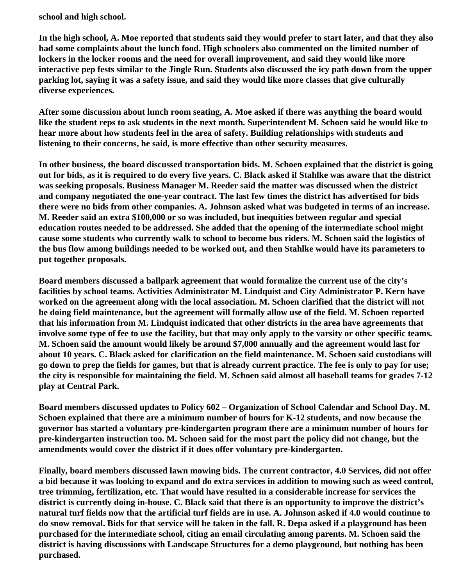**school and high school.**

**In the high school, A. Moe reported that students said they would prefer to start later, and that they also had some complaints about the lunch food. High schoolers also commented on the limited number of lockers in the locker rooms and the need for overall improvement, and said they would like more interactive pep fests similar to the Jingle Run. Students also discussed the icy path down from the upper parking lot, saying it was a safety issue, and said they would like more classes that give culturally diverse experiences.**

**After some discussion about lunch room seating, A. Moe asked if there was anything the board would like the student reps to ask students in the next month. Superintendent M. Schoen said he would like to hear more about how students feel in the area of safety. Building relationships with students and listening to their concerns, he said, is more effective than other security measures.**

**In other business, the board discussed transportation bids. M. Schoen explained that the district is going out for bids, as it is required to do every five years. C. Black asked if Stahlke was aware that the district was seeking proposals. Business Manager M. Reeder said the matter was discussed when the district and company negotiated the one-year contract. The last few times the district has advertised for bids there were no bids from other companies. A. Johnson asked what was budgeted in terms of an increase. M. Reeder said an extra \$100,000 or so was included, but inequities between regular and special education routes needed to be addressed. She added that the opening of the intermediate school might cause some students who currently walk to school to become bus riders. M. Schoen said the logistics of the bus flow among buildings needed to be worked out, and then Stahlke would have its parameters to put together proposals.**

**Board members discussed a ballpark agreement that would formalize the current use of the city's facilities by school teams. Activities Administrator M. Lindquist and City Administrator P. Kern have worked on the agreement along with the local association. M. Schoen clarified that the district will not be doing field maintenance, but the agreement will formally allow use of the field. M. Schoen reported that his information from M. Lindquist indicated that other districts in the area have agreements that involve some type of fee to use the facility, but that may only apply to the varsity or other specific teams. M. Schoen said the amount would likely be around \$7,000 annually and the agreement would last for about 10 years. C. Black asked for clarification on the field maintenance. M. Schoen said custodians will go down to prep the fields for games, but that is already current practice. The fee is only to pay for use; the city is responsible for maintaining the field. M. Schoen said almost all baseball teams for grades 7-12 play at Central Park.**

**Board members discussed updates to Policy 602 – Organization of School Calendar and School Day. M. Schoen explained that there are a minimum number of hours for K-12 students, and now because the governor has started a voluntary pre-kindergarten program there are a minimum number of hours for pre-kindergarten instruction too. M. Schoen said for the most part the policy did not change, but the amendments would cover the district if it does offer voluntary pre-kindergarten.**

**Finally, board members discussed lawn mowing bids. The current contractor, 4.0 Services, did not offer a bid because it was looking to expand and do extra services in addition to mowing such as weed control, tree trimming, fertilization, etc. That would have resulted in a considerable increase for services the district is currently doing in-house. C. Black said that there is an opportunity to improve the district's natural turf fields now that the artificial turf fields are in use. A. Johnson asked if 4.0 would continue to do snow removal. Bids for that service will be taken in the fall. R. Depa asked if a playground has been purchased for the intermediate school, citing an email circulating among parents. M. Schoen said the district is having discussions with Landscape Structures for a demo playground, but nothing has been purchased.**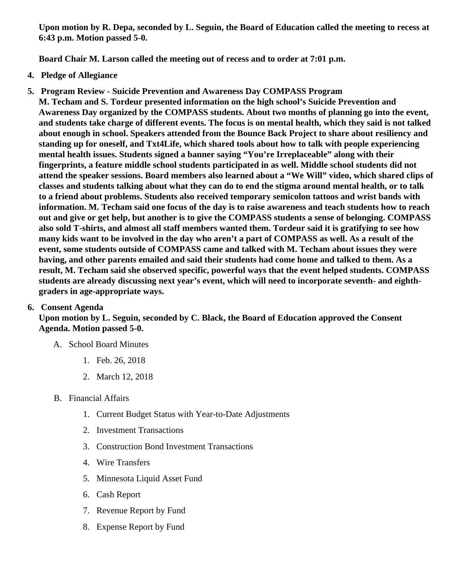Upon motion by R. Depa, seconded by L. Seguin, the Board of Education called the meeting to recess at 6:43 p.m. Motion passed 5-0.

Board Chair M. Larson called the meeting out of recess and to order at 7:01 p.m.

- 4. Pledge of Allegiance
- 5. Program Review Suicide Prevention and Awareness Day COMPASS Program M. Techam and S. Tordeur presented information on the high school's Suicide Prevention and Awareness Day organized by the COMPASS students. About two months of planning go into the event, and students take charge of different events. The focus is on mental health, which they said is not talked about enough in school. Speakers attended from the Bounce Back Project to share about resiliency and standing up for oneself, and Txt4Life, which shared tools about how to talk with people experiencing mental health issues. Students signed a banner saying "You're Irreplaceable" along with their fingerprints, a feature middle school students participated in as well. Middle school students did not attend the speaker sessions. Board members also learned about a "We Will" video, which shared clips of classes and students talking about what they can do to end the stigma around mental health, or to talk to a friend about problems. Students also received temporary semicolon tattoos and wrist bands with information. M. Techam said one focus of the day is to raise awareness and teach students how to reach out and give or get help, but another is to give the COMPASS students a sense of belonging. COMPASS also sold T-shirts, and almost all staff members wanted them. Tordeur said it is gratifying to see how many kids want to be involved in the day who aren't a part of COMPASS as well. As a result of the event, some students outside of COMPASS came and talked with M. Techam about issues they were having, and other parents emailed and said their students had come home and talked to them. As a result, M. Techam said she observed specific, powerful ways that the event helped students. COMPASS students are already discussing next year's event, which will need to incorporate seventh- and eighthgraders in age-appropriate ways.

# 6. Consent Agenda

Upon motion by L. Seguin, seconded by C. Black, the Board of Education approved the Consent Agenda. Motion passed 5-0.

- A. School Board Minutes
	- 1. [Feb. 26, 201](http://www.delano.k12.mn.us/pb/app/agenda/minutes/170)8
	- 2. [March 12, 201](/docs/district/2017_18/School_Board_Items/February_2018/Special_Meeting_Minutes_March_12,_2018.pdf)8
- B. Financial Affairs
	- 1. [Current Budget Status with Year-to-Date Adjustm](/docs/district/Business_Office/FY18_Budget_Report_Mar.pdf)ents
	- 2. [Investment Transactio](/docs/district/Business_Office/February_2018_Investment_Schedule.pdf)ns
	- 3. [Construction Bond Investment Transacti](/docs/district/Business_Office/Bond_Investment_schedule_Feb_18.pdf)ons
	- 4. [Wire Transfer](/docs/district/Business_Office/February_2018_Wire_Transfers.pdf)s
	- 5. [Minnesota Liquid Asset Fun](/docs/district/Business_Office/February_2018_Liquid_Asset_Fund.pdf)d
	- 6. [Cash Repo](/docs/district/Business_Office/February_2018_Cash_Report.pdf)rt
	- 7. [Revenue Report by Fu](/docs/district/Business_Office/Rev_by_Fund_Total.pdf)nd
	- 8. [Expense Report by Fu](/docs/district/Business_Office/Exp_by_Fund_Total.pdf)nd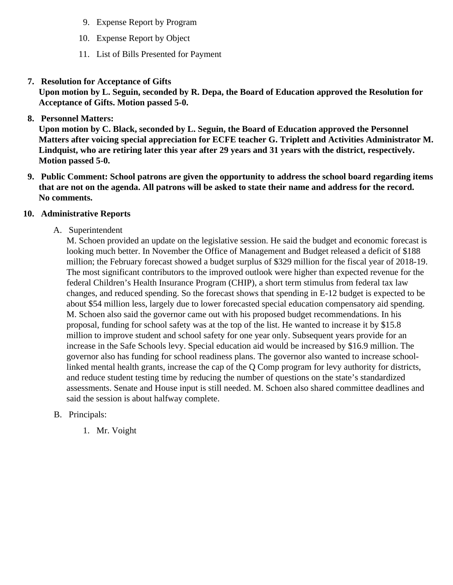- 9. [Expense Report by Progra](/docs/district/Business_Office/Exp_by_Program.pdf)m
- 10. [Expense Report by Obje](/docs/district/Business_Office/Exp_by_Object.pdf)ct
- 11. [List of Bills Presented for Payme](/docs/district/Business_Office/Monthly_Checks.pdf)nt
- 7. [Resolution for Acceptance of Gifts](/docs/district/Business_Office/Resolution_for_Acceptance_of_Gifts_3.26.18.pdf)

Upon motion by L. Seguin, seconded by R. Depa, the Board of Education approved the Resolution for Acceptance of Gifts. Motion passed 5-0.

8. [Personnel Matters:](/docs/district/HR/3.26.18_Personnel.pdf)

Upon motion by C. Black, seconded by L. Seguin, the Board of Education approved the Personnel Matters after voicing special appreciation for ECFE teacher G. Triplett and Activities Administrator M. Lindquist, who are retiring later this year after 29 years and 31 years with the district, respectively. Motion passed 5-0.

- 9. Public Comment: School patrons are given the opportunity to address the school board regarding items that are not on the agenda. All patrons will be asked to state their name and address for the record. No comments.
- 10. Administrative Reports
	- A. Superintendent

M. Schoen provided an update on the legislative session. He said the budget and economic foreca looking much better. In November the Office of Management and Budget released a deficit of \$188 million; the February forecast showed a budget surplus of \$329 million for the fiscal year of 2018-1 The most significant contributors to the improved outlook were higher than expected revenue for the federal Children's Health Insurance Program (CHIP), a short term stimulus from federal tax law changes, and reduced spending. So the forecast shows that spending in E-12 budget is expected to about \$54 million less, largely due to lower forecasted special education compensatory aid spendir M. Schoen also said the governor came out with his proposed budget recommendations. In his proposal, funding for school safety was at the top of the list. He wanted to increase it by \$15.8 million to improve student and school safety for one year only. Subsequent years provide for an increase in the Safe Schools levy. Special education aid would be increased by \$16.9 million. The governor also has funding for school readiness plans. The governor also wanted to increase schoollinked mental health grants, increase the cap of the Q Comp program for levy authority for districts. and reduce student testing time by reducing the number of questions on the state's standardized assessments. Senate and House input is still needed. M. Schoen also shared committee deadlines said the session is about halfway complete.

- B. Principals:
	- 1. Mr. Voight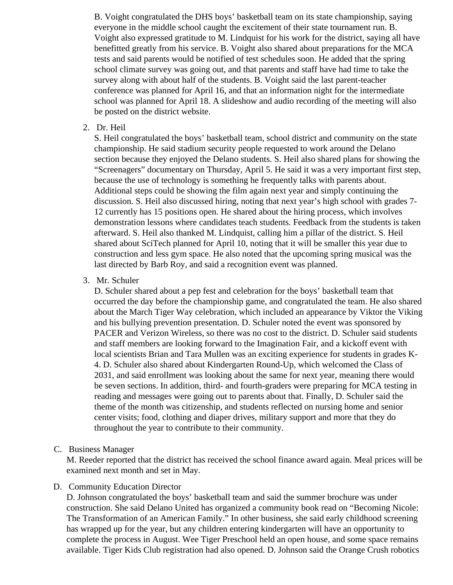B. Voight congratulated the DHS boys' basketball team on its state championship, saying everyone in the middle school caught the excitement of their state tournament run. B. Voight also expressed gratitude to M. Lindquist for his work for the district, saying all have benefitted greatly from his service. B. Voight also shared about preparations for the MCA tests and said parents would be notified of test schedules soon. He added that the spring school climate survey was going out, and that parents and staff have had time to take the survey along with about half of the students. B. Voight said the last parent-teacher conference was planned for April 16, and that an information night for the intermediate school was planned for April 18. A slideshow and audio recording of the meeting will also be posted on the district website.

2. Dr. Heil

S. Heil congratulated the boys' basketball team, school district and community on the state championship. He said stadium security people requested to work around the Delano section because they enjoyed the Delano students. S. Heil also shared plans for showing the "Screenagers" documentary on Thursday, April 5. He said it was a very important first step, because the use of technology is something he frequently talks with parents about. Additional steps could be showing the film again next year and simply continuing the discussion. S. Heil also discussed hiring, noting that next year's high school with grades 7- 12 currently has 15 positions open. He shared about the hiring process, which involves demonstration lessons where candidates teach students. Feedback from the students is taken afterward. S. Heil also thanked M. Lindquist, calling him a pillar of the district. S. Heil shared about SciTech planned for April 10, noting that it will be smaller this year due to construction and less gym space. He also noted that the upcoming spring musical was the last directed by Barb Roy, and said a recognition event was planned.

3. Mr. Schuler

D. Schuler shared about a pep fest and celebration for the boys' basketball team that occurred the day before the championship game, and congratulated the team. He also shared about the March Tiger Way celebration, which included an appearance by Viktor the Viking and his bullying prevention presentation. D. Schuler noted the event was sponsored by PACER and Verizon Wireless, so there was no cost to the district. D. Schuler said students and staff members are looking forward to the Imagination Fair, and a kickoff event with local scientists Brian and Tara Mullen was an exciting experience for students in grades K-4. D. Schuler also shared about Kindergarten Round-Up, which welcomed the Class of 2031, and said enrollment was looking about the same for next year, meaning there would be seven sections. In addition, third- and fourth-graders were preparing for MCA testing in reading and messages were going out to parents about that. Finally, D. Schuler said the theme of the month was citizenship, and students reflected on nursing home and senior center visits; food, clothing and diaper drives, military support and more that they do throughout the year to contribute to their community.

C. Business Manager

M. Reeder reported that the district has received the school finance award again. Meal prices will be examined next month and set in May.

#### D. Community Education Director

D. Johnson congratulated the boys' basketball team and said the summer brochure was under construction. She said Delano United has organized a community book read on "Becoming Nicole: The Transformation of an American Family." In other business, she said early childhood screening has wrapped up for the year, but any children entering kindergarten will have an opportunity to complete the process in August. Wee Tiger Preschool held an open house, and some space remains available. Tiger Kids Club registration had also opened. D. Johnson said the Orange Crush robotics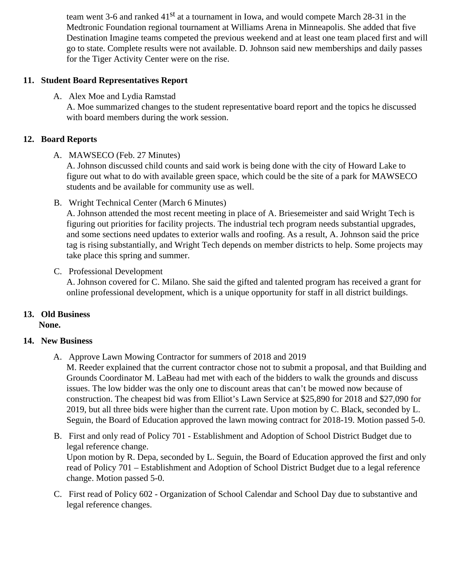team went 3-6 and ranked $\frac{34}{4}$  at a tournament in Iowa, and would compete March 28-31 in the Medtronic Foundation regional tournament at Williams Arena in Minneapolis. She added that five Destination Imagine teams competed the previous weekend and at least one team placed first and go to state. Complete results were not available. D. Johnson said new memberships and daily pas for the Tiger Activity Center were on the rise.

- 11. Student Board Representatives Report
	- A. Alex Moe and Lydia Ramstad A. Moe summarized changes to the student representative board report and the topics he discusse with board members during the work session.
- 12. Board Reports
	- A. MAWSECO Feb. 27 Minutes

A. Johnson discussed child counts and said work is being done with the city of Howard Lake to figure out what to do with available green space, which could be the site of a park for MAWSECO students and be available for community use as well.

B. Wright Technical CenterMarch 6 Minutes

A. Johnson attended the most recent meeting in place of A. Briesemeister and said Wright Tech is figuring out priorities for facility projects. The industrial tech program needs substantial upgrades, and some sections need updates to exterior walls and roofing. As a result, A. Johnson said the pric tag is rising substantially, and Wright Tech depends on member districts to help. Some projects may take place this spring and summer.

C. Professional Development

A. Johnson covered for C. Milano. She said the gifted and talented program has received a grant for online professional development, which is a unique opportunity for staff in all district buildings.

- 13. Old Business None.
- 14. New Business
	- A. [Approve Lawn Mowing Contractor for summers of 2018 and 2](/docs/district/Business_Office/Summary_of_lawn_mowing_proposals_3.16.18.pdf)019

M. Reeder explained that the current contractor chose not to submit a proposal, and that Building a Grounds Coordinator M. LaBeau had met with each of the bidders to walk the grounds and discuss issues. The low bidder was the only one to discount areas that can't be mowed now because of construction. The cheapest bid was from Elliot's Lawn Service at \$25,890 for 2018 and \$27,090 for 2019, but all three bids were higher than the current rate. Upon motion by C. Black, seconded by L. Seguin, the Board of Education approved the lawn mowing contract for 2018-19. Motion passed 5-

- B. First and only read dPolicy 701- Establishment and Adoption of School District Budget due to legal reference change. Upon motion by R. Depa, seconded by L. Seguin, the Board of Education approved the first and or read of Policy 701 – Establishment and Adoption of School District Budget due to a legal reference change. Motion passed 5-0.
- C. First read oPolicy 602- Organization of School Calendar and School Day due to substantive and legal reference changes.